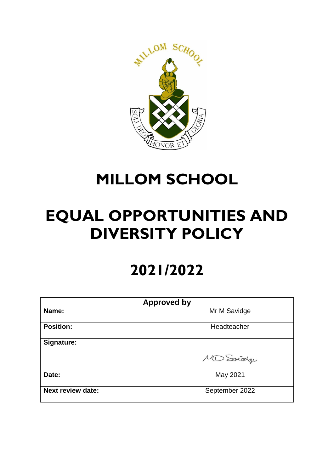

# **MILLOM SCHOOL**

# **EQUAL OPPORTUNITIES AND DIVERSITY POLICY**

# **2021/2022**

| <b>Approved by</b>       |                |
|--------------------------|----------------|
| Name:                    | Mr M Savidge   |
| <b>Position:</b>         | Headteacher    |
| Signature:               | MD Sociodage   |
| Date:                    | May 2021       |
| <b>Next review date:</b> | September 2022 |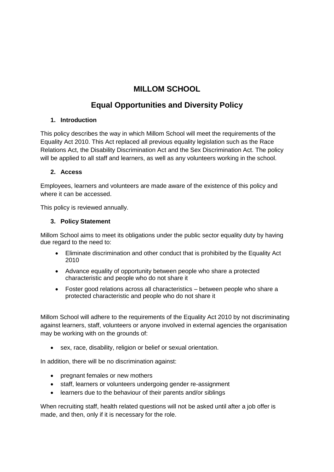# **MILLOM SCHOOL**

# **Equal Opportunities and Diversity Policy**

# **1. Introduction**

This policy describes the way in which Millom School will meet the requirements of the Equality Act 2010. This Act replaced all previous equality legislation such as the Race Relations Act, the Disability Discrimination Act and the Sex Discrimination Act. The policy will be applied to all staff and learners, as well as any volunteers working in the school.

# **2. Access**

Employees, learners and volunteers are made aware of the existence of this policy and where it can be accessed.

This policy is reviewed annually.

# **3. Policy Statement**

Millom School aims to meet its obligations under the public sector equality duty by having due regard to the need to:

- Eliminate discrimination and other conduct that is prohibited by the Equality Act 2010
- Advance equality of opportunity between people who share a protected characteristic and people who do not share it
- Foster good relations across all characteristics between people who share a protected characteristic and people who do not share it

Millom School will adhere to the requirements of the Equality Act 2010 by not discriminating against learners, staff, volunteers or anyone involved in external agencies the organisation may be working with on the grounds of:

• sex, race, disability, religion or belief or sexual orientation.

In addition, there will be no discrimination against:

- pregnant females or new mothers
- staff, learners or volunteers undergoing gender re-assignment
- learners due to the behaviour of their parents and/or siblings

When recruiting staff, health related questions will not be asked until after a job offer is made, and then, only if it is necessary for the role.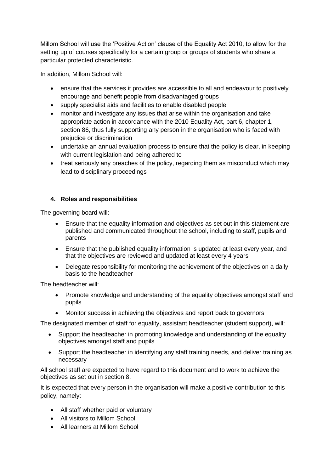Millom School will use the 'Positive Action' clause of the Equality Act 2010, to allow for the setting up of courses specifically for a certain group or groups of students who share a particular protected characteristic.

In addition, Millom School will:

- ensure that the services it provides are accessible to all and endeavour to positively encourage and benefit people from disadvantaged groups
- supply specialist aids and facilities to enable disabled people
- monitor and investigate any issues that arise within the organisation and take appropriate action in accordance with the 2010 Equality Act, part 6, chapter 1, section 86, thus fully supporting any person in the organisation who is faced with prejudice or discrimination
- undertake an annual evaluation process to ensure that the policy is clear, in keeping with current legislation and being adhered to
- treat seriously any breaches of the policy, regarding them as misconduct which may lead to disciplinary proceedings

# **4. Roles and responsibilities**

The governing board will:

- Ensure that the equality information and objectives as set out in this statement are published and communicated throughout the school, including to staff, pupils and parents
- Ensure that the published equality information is updated at least every year, and that the objectives are reviewed and updated at least every 4 years
- Delegate responsibility for monitoring the achievement of the objectives on a daily basis to the headteacher

The headteacher will:

- Promote knowledge and understanding of the equality objectives amongst staff and pupils
- Monitor success in achieving the objectives and report back to governors

The designated member of staff for equality, assistant headteacher (student support), will:

- Support the headteacher in promoting knowledge and understanding of the equality objectives amongst staff and pupils
- Support the headteacher in identifying any staff training needs, and deliver training as necessary

All school staff are expected to have regard to this document and to work to achieve the objectives as set out in section 8.

It is expected that every person in the organisation will make a positive contribution to this policy, namely:

- All staff whether paid or voluntary
- All visitors to Millom School
- All learners at Millom School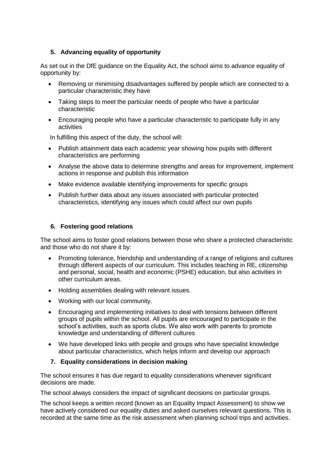# **5. Advancing equality of opportunity**

As set out in the DfE guidance on the Equality Act, the school aims to advance equality of opportunity by:

- Removing or minimising disadvantages suffered by people which are connected to a particular characteristic they have
- Taking steps to meet the particular needs of people who have a particular characteristic
- Encouraging people who have a particular characteristic to participate fully in any activities

In fulfilling this aspect of the duty, the school will:

- Publish attainment data each academic year showing how pupils with different characteristics are performing
- Analyse the above data to determine strengths and areas for improvement, implement actions in response and publish this information
- Make evidence available identifying improvements for specific groups
- Publish further data about any issues associated with particular protected characteristics, identifying any issues which could affect our own pupils

#### **6. Fostering good relations**

The school aims to foster good relations between those who share a protected characteristic and those who do not share it by:

- Promoting tolerance, friendship and understanding of a range of religions and cultures through different aspects of our curriculum. This includes teaching in RE, citizenship and personal, social, health and economic (PSHE) education, but also activities in other curriculum areas.
- Holding assemblies dealing with relevant issues.
- Working with our local community.
- Encouraging and implementing initiatives to deal with tensions between different groups of pupils within the school. All pupils are encouraged to participate in the school's activities, such as sports clubs. We also work with parents to promote knowledge and understanding of different cultures
- We have developed links with people and groups who have specialist knowledge about particular characteristics, which helps inform and develop our approach

#### **7. Equality considerations in decision making**

The school ensures it has due regard to equality considerations whenever significant decisions are made.

The school always considers the impact of significant decisions on particular groups.

The school keeps a written record (known as an Equality Impact Assessment) to show we have actively considered our equality duties and asked ourselves relevant questions. This is recorded at the same time as the risk assessment when planning school trips and activities.